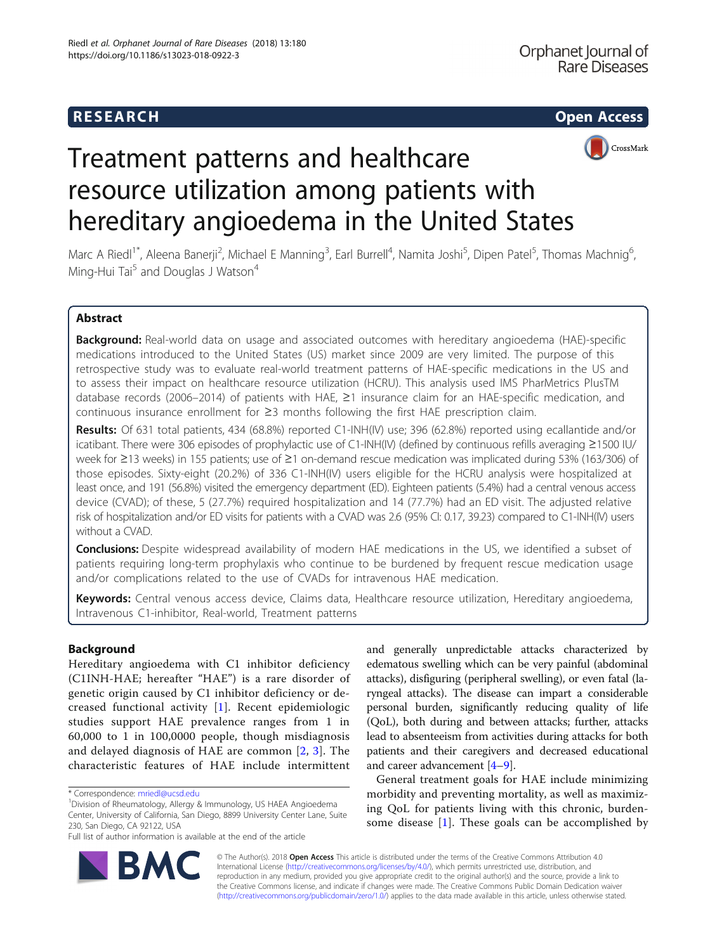



# Treatment patterns and healthcare resource utilization among patients with hereditary angioedema in the United States

Marc A Riedl<sup>1\*</sup>, Aleena Banerji<sup>2</sup>, Michael E Manning<sup>3</sup>, Earl Burrell<sup>4</sup>, Namita Joshi<sup>5</sup>, Dipen Patel<sup>5</sup>, Thomas Machnig<sup>6</sup> .<br>, Ming-Hui Tai $<sup>5</sup>$  and Douglas J Watson<sup>4</sup></sup>

# Abstract

Background: Real-world data on usage and associated outcomes with hereditary angioedema (HAE)-specific medications introduced to the United States (US) market since 2009 are very limited. The purpose of this retrospective study was to evaluate real-world treatment patterns of HAE-specific medications in the US and to assess their impact on healthcare resource utilization (HCRU). This analysis used IMS PharMetrics PlusTM database records (2006–2014) of patients with HAE, ≥1 insurance claim for an HAE-specific medication, and continuous insurance enrollment for ≥3 months following the first HAE prescription claim.

Results: Of 631 total patients, 434 (68.8%) reported C1-INH(IV) use; 396 (62.8%) reported using ecallantide and/or icatibant. There were 306 episodes of prophylactic use of C1-INH(IV) (defined by continuous refills averaging ≥1500 IU/ week for ≥13 weeks) in 155 patients; use of ≥1 on-demand rescue medication was implicated during 53% (163/306) of those episodes. Sixty-eight (20.2%) of 336 C1-INH(IV) users eligible for the HCRU analysis were hospitalized at least once, and 191 (56.8%) visited the emergency department (ED). Eighteen patients (5.4%) had a central venous access device (CVAD); of these, 5 (27.7%) required hospitalization and 14 (77.7%) had an ED visit. The adjusted relative risk of hospitalization and/or ED visits for patients with a CVAD was 2.6 (95% CI: 0.17, 39.23) compared to C1-INH(IV) users without a CVAD.

Conclusions: Despite widespread availability of modern HAE medications in the US, we identified a subset of patients requiring long-term prophylaxis who continue to be burdened by frequent rescue medication usage and/or complications related to the use of CVADs for intravenous HAE medication.

Keywords: Central venous access device, Claims data, Healthcare resource utilization, Hereditary angioedema, Intravenous C1-inhibitor, Real-world, Treatment patterns

# Background

Hereditary angioedema with C1 inhibitor deficiency (C1INH-HAE; hereafter "HAE") is a rare disorder of genetic origin caused by C1 inhibitor deficiency or decreased functional activity [[1](#page-6-0)]. Recent epidemiologic studies support HAE prevalence ranges from 1 in 60,000 to 1 in 100,0000 people, though misdiagnosis and delayed diagnosis of HAE are common [\[2](#page-6-0), [3](#page-6-0)]. The characteristic features of HAE include intermittent and generally unpredictable attacks characterized by edematous swelling which can be very painful (abdominal attacks), disfiguring (peripheral swelling), or even fatal (laryngeal attacks). The disease can impart a considerable personal burden, significantly reducing quality of life (QoL), both during and between attacks; further, attacks lead to absenteeism from activities during attacks for both patients and their caregivers and decreased educational and career advancement [[4](#page-6-0)–[9](#page-6-0)].

General treatment goals for HAE include minimizing morbidity and preventing mortality, as well as maximizing QoL for patients living with this chronic, burdensome disease [\[1](#page-6-0)]. These goals can be accomplished by



© The Author(s). 2018 Open Access This article is distributed under the terms of the Creative Commons Attribution 4.0 International License [\(http://creativecommons.org/licenses/by/4.0/](http://creativecommons.org/licenses/by/4.0/)), which permits unrestricted use, distribution, and reproduction in any medium, provided you give appropriate credit to the original author(s) and the source, provide a link to the Creative Commons license, and indicate if changes were made. The Creative Commons Public Domain Dedication waiver [\(http://creativecommons.org/publicdomain/zero/1.0/](http://creativecommons.org/publicdomain/zero/1.0/)) applies to the data made available in this article, unless otherwise stated.

<sup>\*</sup> Correspondence: [mriedl@ucsd.edu](mailto:mriedl@ucsd.edu) <sup>1</sup>

<sup>&</sup>lt;sup>1</sup> Division of Rheumatology, Allergy & Immunology, US HAEA Angioedema Center, University of California, San Diego, 8899 University Center Lane, Suite 230, San Diego, CA 92122, USA

Full list of author information is available at the end of the article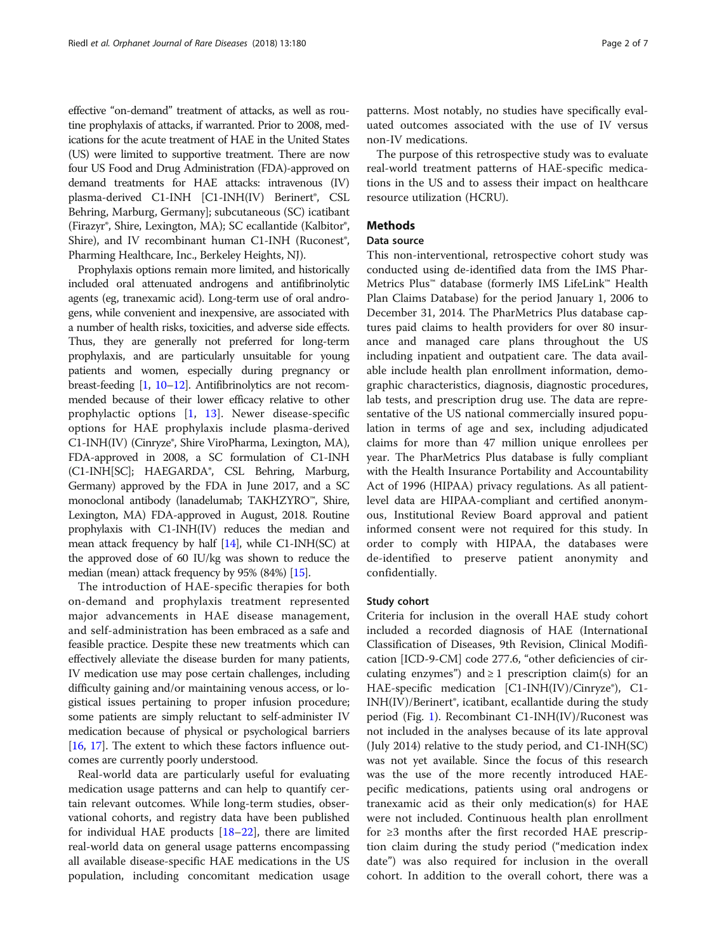effective "on-demand" treatment of attacks, as well as routine prophylaxis of attacks, if warranted. Prior to 2008, medications for the acute treatment of HAE in the United States (US) were limited to supportive treatment. There are now four US Food and Drug Administration (FDA)-approved on demand treatments for HAE attacks: intravenous (IV) plasma-derived C1-INH [C1-INH(IV) Berinert®, CSL Behring, Marburg, Germany]; subcutaneous (SC) icatibant (Firazyr®, Shire, Lexington, MA); SC ecallantide (Kalbitor®, Shire), and IV recombinant human C1-INH (Ruconest®, Pharming Healthcare, Inc., Berkeley Heights, NJ).

Prophylaxis options remain more limited, and historically included oral attenuated androgens and antifibrinolytic agents (eg, tranexamic acid). Long-term use of oral androgens, while convenient and inexpensive, are associated with a number of health risks, toxicities, and adverse side effects. Thus, they are generally not preferred for long-term prophylaxis, and are particularly unsuitable for young patients and women, especially during pregnancy or breast-feeding [\[1](#page-6-0), [10](#page-6-0)–[12\]](#page-6-0). Antifibrinolytics are not recommended because of their lower efficacy relative to other prophylactic options [\[1](#page-6-0), [13](#page-6-0)]. Newer disease-specific options for HAE prophylaxis include plasma-derived C1-INH(IV) (Cinryze®, Shire ViroPharma, Lexington, MA), FDA-approved in 2008, a SC formulation of C1-INH (C1-INH[SC]; HAEGARDA®, CSL Behring, Marburg, Germany) approved by the FDA in June 2017, and a SC monoclonal antibody (lanadelumab; TAKHZYRO™, Shire, Lexington, MA) FDA-approved in August, 2018. Routine prophylaxis with C1-INH(IV) reduces the median and mean attack frequency by half [\[14\]](#page-6-0), while C1-INH(SC) at the approved dose of 60 IU/kg was shown to reduce the median (mean) attack frequency by 95% (84%) [[15](#page-6-0)].

The introduction of HAE-specific therapies for both on-demand and prophylaxis treatment represented major advancements in HAE disease management, and self-administration has been embraced as a safe and feasible practice. Despite these new treatments which can effectively alleviate the disease burden for many patients, IV medication use may pose certain challenges, including difficulty gaining and/or maintaining venous access, or logistical issues pertaining to proper infusion procedure; some patients are simply reluctant to self-administer IV medication because of physical or psychological barriers [[16](#page-6-0), [17\]](#page-6-0). The extent to which these factors influence outcomes are currently poorly understood.

Real-world data are particularly useful for evaluating medication usage patterns and can help to quantify certain relevant outcomes. While long-term studies, observational cohorts, and registry data have been published for individual HAE products [[18](#page-6-0)–[22\]](#page-6-0), there are limited real-world data on general usage patterns encompassing all available disease-specific HAE medications in the US population, including concomitant medication usage

patterns. Most notably, no studies have specifically evaluated outcomes associated with the use of IV versus non-IV medications.

The purpose of this retrospective study was to evaluate real-world treatment patterns of HAE-specific medications in the US and to assess their impact on healthcare resource utilization (HCRU).

# **Methods**

# Data source

This non-interventional, retrospective cohort study was conducted using de-identified data from the IMS Phar-Metrics Plus™ database (formerly IMS LifeLink™ Health Plan Claims Database) for the period January 1, 2006 to December 31, 2014. The PharMetrics Plus database captures paid claims to health providers for over 80 insurance and managed care plans throughout the US including inpatient and outpatient care. The data available include health plan enrollment information, demographic characteristics, diagnosis, diagnostic procedures, lab tests, and prescription drug use. The data are representative of the US national commercially insured population in terms of age and sex, including adjudicated claims for more than 47 million unique enrollees per year. The PharMetrics Plus database is fully compliant with the Health Insurance Portability and Accountability Act of 1996 (HIPAA) privacy regulations. As all patientlevel data are HIPAA-compliant and certified anonymous, Institutional Review Board approval and patient informed consent were not required for this study. In order to comply with HIPAA, the databases were de-identified to preserve patient anonymity and confidentially.

# Study cohort

Criteria for inclusion in the overall HAE study cohort included a recorded diagnosis of HAE (InternationaI Classification of Diseases, 9th Revision, Clinical Modification [ICD-9-CM] code 277.6, "other deficiencies of circulating enzymes") and  $\geq 1$  prescription claim(s) for an HAE-specific medication [C1-INH(IV)/Cinryze®), C1-INH(IV)/Berinert®, icatibant, ecallantide during the study period (Fig. [1](#page-2-0)). Recombinant C1-INH(IV)/Ruconest was not included in the analyses because of its late approval (July 2014) relative to the study period, and C1-INH(SC) was not yet available. Since the focus of this research was the use of the more recently introduced HAEpecific medications, patients using oral androgens or tranexamic acid as their only medication(s) for HAE were not included. Continuous health plan enrollment for ≥3 months after the first recorded HAE prescription claim during the study period ("medication index date") was also required for inclusion in the overall cohort. In addition to the overall cohort, there was a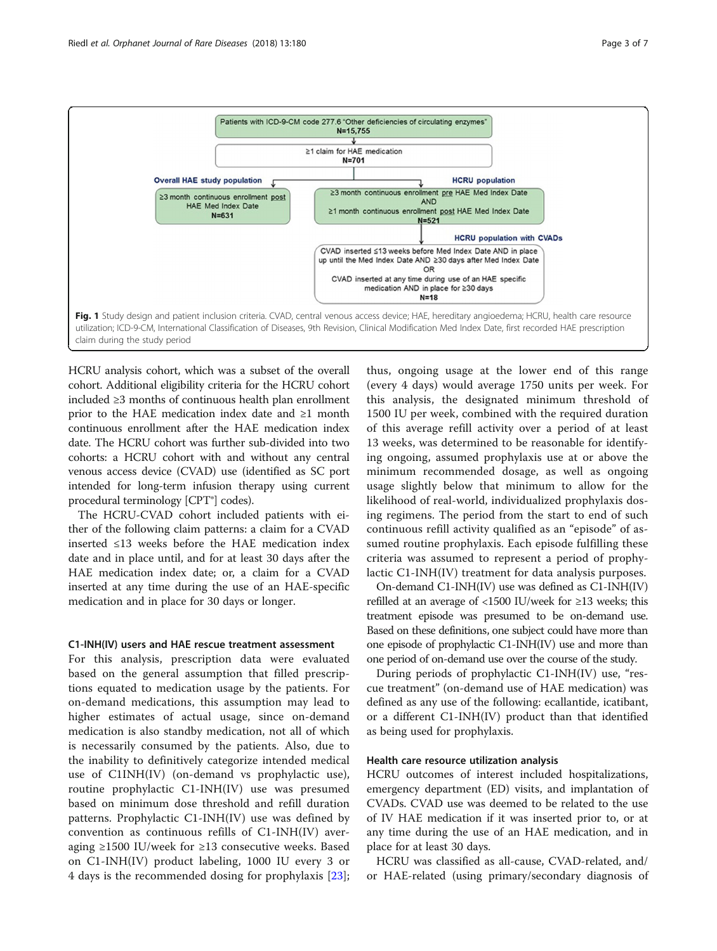<span id="page-2-0"></span>

HCRU analysis cohort, which was a subset of the overall cohort. Additional eligibility criteria for the HCRU cohort included ≥3 months of continuous health plan enrollment prior to the HAE medication index date and ≥1 month continuous enrollment after the HAE medication index date. The HCRU cohort was further sub-divided into two cohorts: a HCRU cohort with and without any central venous access device (CVAD) use (identified as SC port intended for long-term infusion therapy using current procedural terminology [CPT®] codes).

The HCRU-CVAD cohort included patients with either of the following claim patterns: a claim for a CVAD inserted ≤13 weeks before the HAE medication index date and in place until, and for at least 30 days after the HAE medication index date; or, a claim for a CVAD inserted at any time during the use of an HAE-specific medication and in place for 30 days or longer.

# C1-INH(IV) users and HAE rescue treatment assessment

For this analysis, prescription data were evaluated based on the general assumption that filled prescriptions equated to medication usage by the patients. For on-demand medications, this assumption may lead to higher estimates of actual usage, since on-demand medication is also standby medication, not all of which is necessarily consumed by the patients. Also, due to the inability to definitively categorize intended medical use of C1INH(IV) (on-demand vs prophylactic use), routine prophylactic C1-INH(IV) use was presumed based on minimum dose threshold and refill duration patterns. Prophylactic C1-INH(IV) use was defined by convention as continuous refills of C1-INH(IV) averaging ≥1500 IU/week for ≥13 consecutive weeks. Based on C1-INH(IV) product labeling, 1000 IU every 3 or 4 days is the recommended dosing for prophylaxis [\[23](#page-6-0)];

thus, ongoing usage at the lower end of this range (every 4 days) would average 1750 units per week. For this analysis, the designated minimum threshold of 1500 IU per week, combined with the required duration of this average refill activity over a period of at least 13 weeks, was determined to be reasonable for identifying ongoing, assumed prophylaxis use at or above the minimum recommended dosage, as well as ongoing usage slightly below that minimum to allow for the likelihood of real-world, individualized prophylaxis dosing regimens. The period from the start to end of such continuous refill activity qualified as an "episode" of assumed routine prophylaxis. Each episode fulfilling these criteria was assumed to represent a period of prophylactic C1-INH(IV) treatment for data analysis purposes.

On-demand C1-INH(IV) use was defined as C1-INH(IV) refilled at an average of <1500 IU/week for ≥13 weeks; this treatment episode was presumed to be on-demand use. Based on these definitions, one subject could have more than one episode of prophylactic C1-INH(IV) use and more than one period of on-demand use over the course of the study.

During periods of prophylactic C1-INH(IV) use, "rescue treatment" (on-demand use of HAE medication) was defined as any use of the following: ecallantide, icatibant, or a different C1-INH(IV) product than that identified as being used for prophylaxis.

#### Health care resource utilization analysis

HCRU outcomes of interest included hospitalizations, emergency department (ED) visits, and implantation of CVADs. CVAD use was deemed to be related to the use of IV HAE medication if it was inserted prior to, or at any time during the use of an HAE medication, and in place for at least 30 days.

HCRU was classified as all-cause, CVAD-related, and/ or HAE-related (using primary/secondary diagnosis of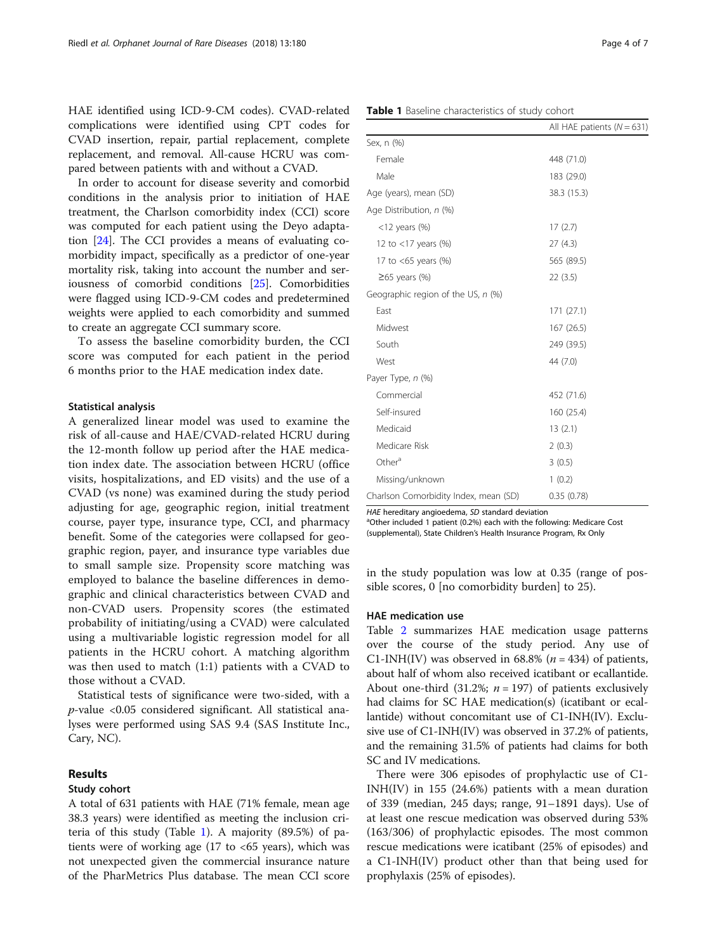HAE identified using ICD-9-CM codes). CVAD-related complications were identified using CPT codes for CVAD insertion, repair, partial replacement, complete replacement, and removal. All-cause HCRU was compared between patients with and without a CVAD.

In order to account for disease severity and comorbid conditions in the analysis prior to initiation of HAE treatment, the Charlson comorbidity index (CCI) score was computed for each patient using the Deyo adaptation [\[24](#page-6-0)]. The CCI provides a means of evaluating comorbidity impact, specifically as a predictor of one-year mortality risk, taking into account the number and seriousness of comorbid conditions [[25](#page-6-0)]. Comorbidities were flagged using ICD-9-CM codes and predetermined weights were applied to each comorbidity and summed to create an aggregate CCI summary score.

To assess the baseline comorbidity burden, the CCI score was computed for each patient in the period 6 months prior to the HAE medication index date.

#### Statistical analysis

A generalized linear model was used to examine the risk of all-cause and HAE/CVAD-related HCRU during the 12-month follow up period after the HAE medication index date. The association between HCRU (office visits, hospitalizations, and ED visits) and the use of a CVAD (vs none) was examined during the study period adjusting for age, geographic region, initial treatment course, payer type, insurance type, CCI, and pharmacy benefit. Some of the categories were collapsed for geographic region, payer, and insurance type variables due to small sample size. Propensity score matching was employed to balance the baseline differences in demographic and clinical characteristics between CVAD and non-CVAD users. Propensity scores (the estimated probability of initiating/using a CVAD) were calculated using a multivariable logistic regression model for all patients in the HCRU cohort. A matching algorithm was then used to match (1:1) patients with a CVAD to those without a CVAD.

Statistical tests of significance were two-sided, with a  $p$ -value <0.05 considered significant. All statistical analyses were performed using SAS 9.4 (SAS Institute Inc., Cary, NC).

# Results

#### Study cohort

A total of 631 patients with HAE (71% female, mean age 38.3 years) were identified as meeting the inclusion criteria of this study (Table 1). A majority (89.5%) of patients were of working age  $(17 \text{ to } < 65 \text{ years})$ , which was not unexpected given the commercial insurance nature of the PharMetrics Plus database. The mean CCI score

| ë                   | Age Distribution, n (%)            |            |
|---------------------|------------------------------------|------------|
|                     | $<$ 12 years $%$                   | 17(2.7)    |
|                     | 12 to <17 years (%)                | 27(4.3)    |
| r                   | 17 to $<$ 65 years (%)             | 565 (89.5) |
| $\ddot{\mathbf{s}}$ | $\geq$ 65 years (%)                | 22(3.5)    |
| l                   | Geographic region of the US, n (%) |            |
| l                   | East                               | 171 (27.1) |
| l                   | Midwest                            | 167 (26.5) |
|                     | South                              | 249 (39.5) |
|                     | West                               | 44 (7.0)   |
|                     | Payer Type, n (%)                  |            |
|                     | Commercial                         | 452 (71.6) |
|                     | Self-insured                       | 160 (25.4) |
|                     | Medicaid                           | 13(2.1)    |
| z                   | Medicare Risk                      | 2(0.3)     |

HAE hereditary angioedema, SD standard deviation

Other<sup>a</sup> 3 (0.5) Missing/unknown 1 (0.2) Charlson Comorbidity Index, mean (SD) 0.35 (0.78)

<sup>a</sup>Other included 1 patient (0.2%) each with the following: Medicare Cost (supplemental), State Children's Health Insurance Program, Rx Only

in the study population was low at 0.35 (range of possible scores, 0 [no comorbidity burden] to 25).

# HAE medication use

Table [2](#page-4-0) summarizes HAE medication usage patterns over the course of the study period. Any use of C1-INH(IV) was observed in 68.8% ( $n = 434$ ) of patients, about half of whom also received icatibant or ecallantide. About one-third (31.2%;  $n = 197$ ) of patients exclusively had claims for SC HAE medication(s) (icatibant or ecallantide) without concomitant use of C1-INH(IV). Exclusive use of C1-INH(IV) was observed in 37.2% of patients, and the remaining 31.5% of patients had claims for both SC and IV medications.

There were 306 episodes of prophylactic use of C1- INH(IV) in 155 (24.6%) patients with a mean duration of 339 (median, 245 days; range, 91–1891 days). Use of at least one rescue medication was observed during 53% (163/306) of prophylactic episodes. The most common rescue medications were icatibant (25% of episodes) and a C1-INH(IV) product other than that being used for prophylaxis (25% of episodes).

All HAE patients  $(N = 631)$ 

#### Table 1 Baseline characteristics of study cohort

Female 448 (71.0) Male 183 (29.0) Age (years), mean (SD) 38.3 (15.3)

Sex, n (%)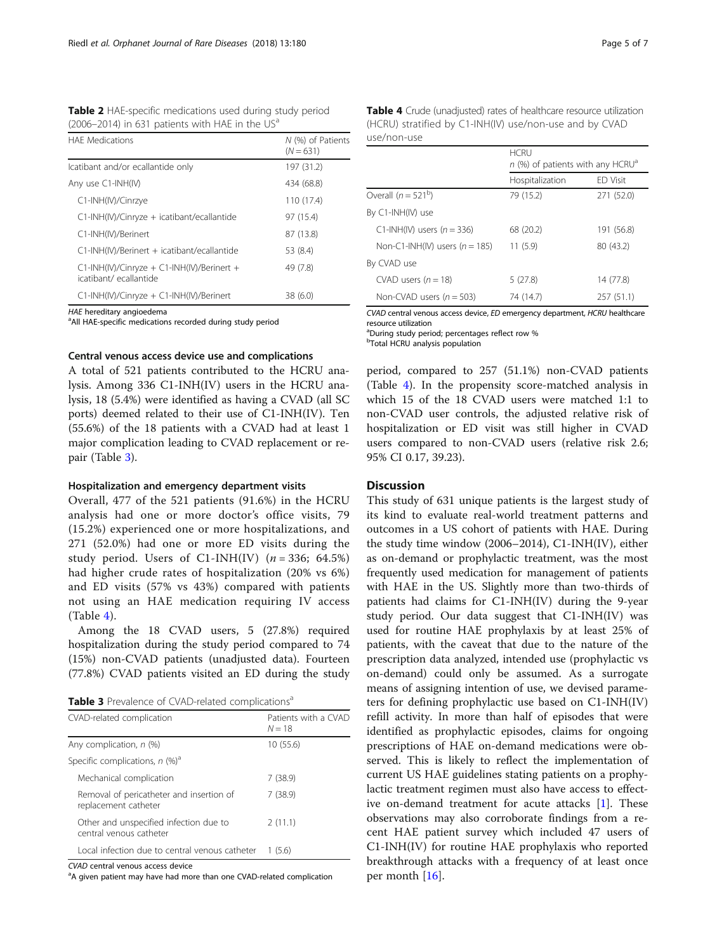<span id="page-4-0"></span>Table 2 HAE-specific medications used during study period (2006–2014) in 631 patients with HAE in the  $US<sup>a</sup>$ 

| <b>HAF Medications</b>                                                    | N (%) of Patients<br>$(N = 631)$ |
|---------------------------------------------------------------------------|----------------------------------|
| Icatibant and/or ecallantide only                                         | 197 (31.2)                       |
| Any use C1-INH(IV)                                                        | 434 (68.8)                       |
| C1-INH(IV)/Cinrzye                                                        | 110 (17.4)                       |
| C1-INH(IV)/Cinryze + icatibant/ecallantide                                | 97 (15.4)                        |
| C1-INH(IV)/Berinert                                                       | 87 (13.8)                        |
| C1-INH(IV)/Berinert + icatibant/ecallantide                               | 53 (8.4)                         |
| $C1$ -INH(IV)/Cinryze + $C1$ -INH(IV)/Berinert +<br>icatibant/ecallantide | 49 (7.8)                         |
| C1-INH(IV)/Cinryze + C1-INH(IV)/Berinert                                  | 38 (6.0)                         |

HAE hereditary angioedema

<sup>a</sup> All HAE-specific medications recorded during study period

# Central venous access device use and complications

A total of 521 patients contributed to the HCRU analysis. Among 336 C1-INH(IV) users in the HCRU analysis, 18 (5.4%) were identified as having a CVAD (all SC ports) deemed related to their use of C1-INH(IV). Ten (55.6%) of the 18 patients with a CVAD had at least 1 major complication leading to CVAD replacement or repair (Table 3).

#### Hospitalization and emergency department visits

Overall, 477 of the 521 patients (91.6%) in the HCRU analysis had one or more doctor's office visits, 79 (15.2%) experienced one or more hospitalizations, and 271 (52.0%) had one or more ED visits during the study period. Users of C1-INH(IV)  $(n = 336; 64.5%)$ had higher crude rates of hospitalization (20% vs 6%) and ED visits (57% vs 43%) compared with patients not using an HAE medication requiring IV access (Table 4).

Among the 18 CVAD users, 5 (27.8%) required hospitalization during the study period compared to 74 (15%) non-CVAD patients (unadjusted data). Fourteen (77.8%) CVAD patients visited an ED during the study

Table 3 Prevalence of CVAD-related complications<sup>a</sup>

| CVAD-related complication                                         | Patients with a CVAD<br>$N = 18$ |
|-------------------------------------------------------------------|----------------------------------|
| Any complication, n (%)                                           | 10 (55.6)                        |
| Specific complications, $n$ (%) <sup>a</sup>                      |                                  |
| Mechanical complication                                           | 7(38.9)                          |
| Removal of pericatheter and insertion of<br>replacement catheter  | 7(38.9)                          |
| Other and unspecified infection due to<br>central venous catheter | 2(11.1)                          |
| Local infection due to central venous catheter                    | 1(5.6)                           |

CVAD central venous access device

<sup>a</sup>A given patient may have had more than one CVAD-related complication

Table 4 Crude (unadjusted) rates of healthcare resource utilization (HCRU) stratified by C1-INH(IV) use/non-use and by CVAD use/non-use

|                                  | <b>HCRU</b><br>$n$ (%) of patients with any HCRU <sup>a</sup> |            |
|----------------------------------|---------------------------------------------------------------|------------|
|                                  | Hospitalization                                               | FD Visit   |
| Overall $(n = 521b)$             | 79 (15.2)                                                     | 271 (52.0) |
| By C1-INH(IV) use                |                                                               |            |
| C1-INH(IV) users $(n = 336)$     | 68 (20.2)                                                     | 191 (56.8) |
| Non-C1-INH(IV) users $(n = 185)$ | 11(5.9)                                                       | 80 (43.2)  |
| By CVAD use                      |                                                               |            |
| CVAD users $(n = 18)$            | 5(27.8)                                                       | 14 (77.8)  |
| Non-CVAD users $(n = 503)$       | 74 (14.7)                                                     | 257 (51.1) |

CVAD central venous access device, ED emergency department, HCRU healthcare resource utilization

<sup>a</sup>During study period; percentages reflect row %

b Total HCRU analysis population

period, compared to 257 (51.1%) non-CVAD patients (Table 4). In the propensity score-matched analysis in which 15 of the 18 CVAD users were matched 1:1 to non-CVAD user controls, the adjusted relative risk of hospitalization or ED visit was still higher in CVAD users compared to non-CVAD users (relative risk 2.6; 95% CI 0.17, 39.23).

#### **Discussion**

This study of 631 unique patients is the largest study of its kind to evaluate real-world treatment patterns and outcomes in a US cohort of patients with HAE. During the study time window (2006–2014), C1-INH(IV), either as on-demand or prophylactic treatment, was the most frequently used medication for management of patients with HAE in the US. Slightly more than two-thirds of patients had claims for C1-INH(IV) during the 9-year study period. Our data suggest that C1-INH(IV) was used for routine HAE prophylaxis by at least 25% of patients, with the caveat that due to the nature of the prescription data analyzed, intended use (prophylactic vs on-demand) could only be assumed. As a surrogate means of assigning intention of use, we devised parameters for defining prophylactic use based on C1-INH(IV) refill activity. In more than half of episodes that were identified as prophylactic episodes, claims for ongoing prescriptions of HAE on-demand medications were observed. This is likely to reflect the implementation of current US HAE guidelines stating patients on a prophylactic treatment regimen must also have access to effective on-demand treatment for acute attacks [[1\]](#page-6-0). These observations may also corroborate findings from a recent HAE patient survey which included 47 users of C1-INH(IV) for routine HAE prophylaxis who reported breakthrough attacks with a frequency of at least once per month [\[16](#page-6-0)].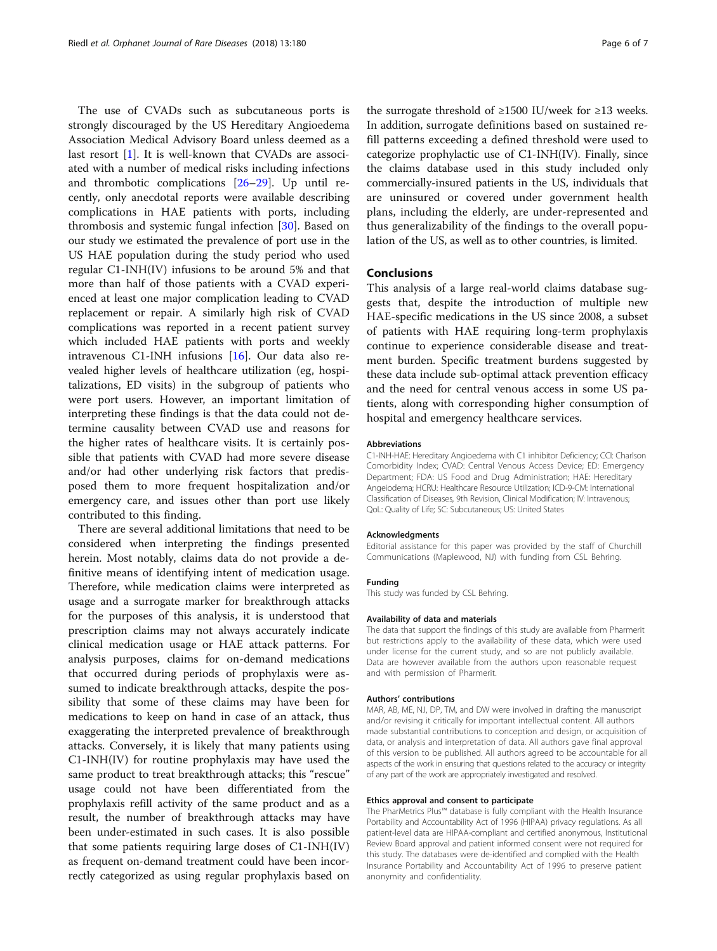The use of CVADs such as subcutaneous ports is strongly discouraged by the US Hereditary Angioedema Association Medical Advisory Board unless deemed as a last resort [[1](#page-6-0)]. It is well-known that CVADs are associated with a number of medical risks including infections and thrombotic complications [\[26](#page-6-0)–[29\]](#page-6-0). Up until recently, only anecdotal reports were available describing complications in HAE patients with ports, including thrombosis and systemic fungal infection [\[30\]](#page-6-0). Based on our study we estimated the prevalence of port use in the US HAE population during the study period who used regular C1-INH(IV) infusions to be around 5% and that more than half of those patients with a CVAD experienced at least one major complication leading to CVAD replacement or repair. A similarly high risk of CVAD complications was reported in a recent patient survey which included HAE patients with ports and weekly intravenous C1-INH infusions [\[16](#page-6-0)]. Our data also revealed higher levels of healthcare utilization (eg, hospitalizations, ED visits) in the subgroup of patients who were port users. However, an important limitation of interpreting these findings is that the data could not determine causality between CVAD use and reasons for the higher rates of healthcare visits. It is certainly possible that patients with CVAD had more severe disease and/or had other underlying risk factors that predisposed them to more frequent hospitalization and/or emergency care, and issues other than port use likely contributed to this finding.

There are several additional limitations that need to be considered when interpreting the findings presented herein. Most notably, claims data do not provide a definitive means of identifying intent of medication usage. Therefore, while medication claims were interpreted as usage and a surrogate marker for breakthrough attacks for the purposes of this analysis, it is understood that prescription claims may not always accurately indicate clinical medication usage or HAE attack patterns. For analysis purposes, claims for on-demand medications that occurred during periods of prophylaxis were assumed to indicate breakthrough attacks, despite the possibility that some of these claims may have been for medications to keep on hand in case of an attack, thus exaggerating the interpreted prevalence of breakthrough attacks. Conversely, it is likely that many patients using C1-INH(IV) for routine prophylaxis may have used the same product to treat breakthrough attacks; this "rescue" usage could not have been differentiated from the prophylaxis refill activity of the same product and as a result, the number of breakthrough attacks may have been under-estimated in such cases. It is also possible that some patients requiring large doses of C1-INH(IV) as frequent on-demand treatment could have been incorrectly categorized as using regular prophylaxis based on

the surrogate threshold of ≥1500 IU/week for ≥13 weeks. In addition, surrogate definitions based on sustained refill patterns exceeding a defined threshold were used to categorize prophylactic use of C1-INH(IV). Finally, since the claims database used in this study included only commercially-insured patients in the US, individuals that are uninsured or covered under government health plans, including the elderly, are under-represented and thus generalizability of the findings to the overall population of the US, as well as to other countries, is limited.

## **Conclusions**

This analysis of a large real-world claims database suggests that, despite the introduction of multiple new HAE-specific medications in the US since 2008, a subset of patients with HAE requiring long-term prophylaxis continue to experience considerable disease and treatment burden. Specific treatment burdens suggested by these data include sub-optimal attack prevention efficacy and the need for central venous access in some US patients, along with corresponding higher consumption of hospital and emergency healthcare services.

#### Abbreviations

C1-INH-HAE: Hereditary Angioedema with C1 inhibitor Deficiency; CCI: Charlson Comorbidity Index; CVAD: Central Venous Access Device; ED: Emergency Department; FDA: US Food and Drug Administration; HAE: Hereditary Angeiodema; HCRU: Healthcare Resource Utilization; ICD-9-CM: International Classification of Diseases, 9th Revision, Clinical Modification; IV: Intravenous; QoL: Quality of Life; SC: Subcutaneous; US: United States

#### Acknowledgments

Editorial assistance for this paper was provided by the staff of Churchill Communications (Maplewood, NJ) with funding from CSL Behring.

#### Funding

This study was funded by CSL Behring.

#### Availability of data and materials

The data that support the findings of this study are available from Pharmerit but restrictions apply to the availability of these data, which were used under license for the current study, and so are not publicly available. Data are however available from the authors upon reasonable request and with permission of Pharmerit.

#### Authors' contributions

MAR, AB, ME, NJ, DP, TM, and DW were involved in drafting the manuscript and/or revising it critically for important intellectual content. All authors made substantial contributions to conception and design, or acquisition of data, or analysis and interpretation of data. All authors gave final approval of this version to be published. All authors agreed to be accountable for all aspects of the work in ensuring that questions related to the accuracy or integrity of any part of the work are appropriately investigated and resolved.

#### Ethics approval and consent to participate

The PharMetrics Plus™ database is fully compliant with the Health Insurance Portability and Accountability Act of 1996 (HIPAA) privacy regulations. As all patient-level data are HIPAA-compliant and certified anonymous, Institutional Review Board approval and patient informed consent were not required for this study. The databases were de-identified and complied with the Health Insurance Portability and Accountability Act of 1996 to preserve patient anonymity and confidentiality.